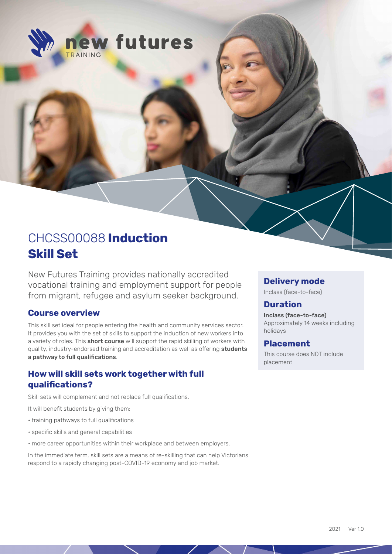

# CHCSS00088 **Induction Skill Set**

New Futures Training provides nationally accredited vocational training and employment support for people from migrant, refugee and asylum seeker background.

### **Course overview**

This skill set ideal for people entering the health and community services sector. It provides you with the set of skills to support the induction of new workers into a variety of roles. This short course will support the rapid skilling of workers with quality, industry-endorsed training and accreditation as well as offering students a pathway to full qualifications.

# **How will skill sets work together with full qualifications?**

Skill sets will complement and not replace full qualifications.

- It will benefit students by giving them:
- training pathways to full qualifications
- specific skills and general capabilities
- more career opportunities within their workplace and between employers.

In the immediate term, skill sets are a means of re-skilling that can help Victorians respond to a rapidly changing post-COVID-19 economy and job market.

### **Delivery mode**

Inclass (face-to-face)

### **Duration**

Inclass (face-to-face) Approximately 14 weeks including holidays

### **Placement**

This course does NOT include placement